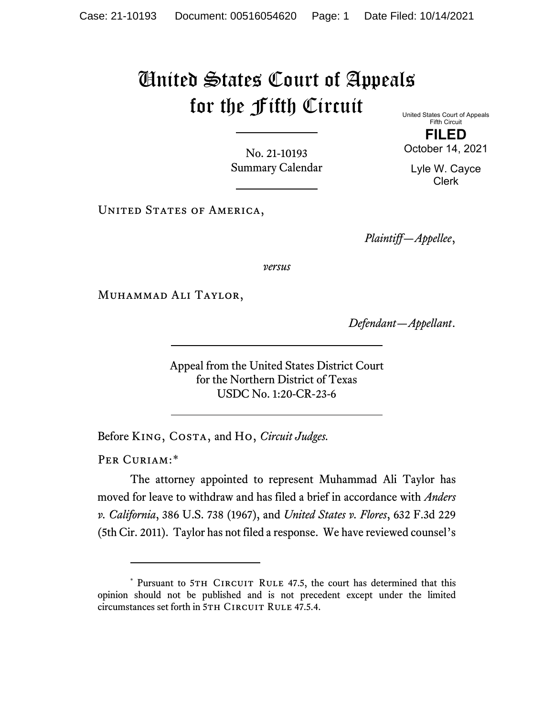## United States Court of Appeals for the Fifth Circuit

No. 21-10193 Summary Calendar

UNITED STATES OF AMERICA,

*Plaintiff—Appellee*,

*versus*

Muhammad Ali Taylor,

*Defendant—Appellant*.

Appeal from the United States District Court for the Northern District of Texas USDC No. 1:20-CR-23-6

Before King, Costa, and Ho, *Circuit Judges.*

PER CURIAM:[\\*](#page-0-0)

The attorney appointed to represent Muhammad Ali Taylor has moved for leave to withdraw and has filed a brief in accordance with *Anders v. California*, 386 U.S. 738 (1967), and *United States v. Flores*, 632 F.3d 229 (5th Cir. 2011). Taylor has not filed a response. We have reviewed counsel's

United States Court of Appeals Fifth Circuit

**FILED** October 14, 2021

Lyle W. Cayce Clerk

<span id="page-0-0"></span><sup>\*</sup> Pursuant to 5TH CIRCUIT RULE 47.5, the court has determined that this opinion should not be published and is not precedent except under the limited circumstances set forth in 5TH CIRCUIT RULE 47.5.4.